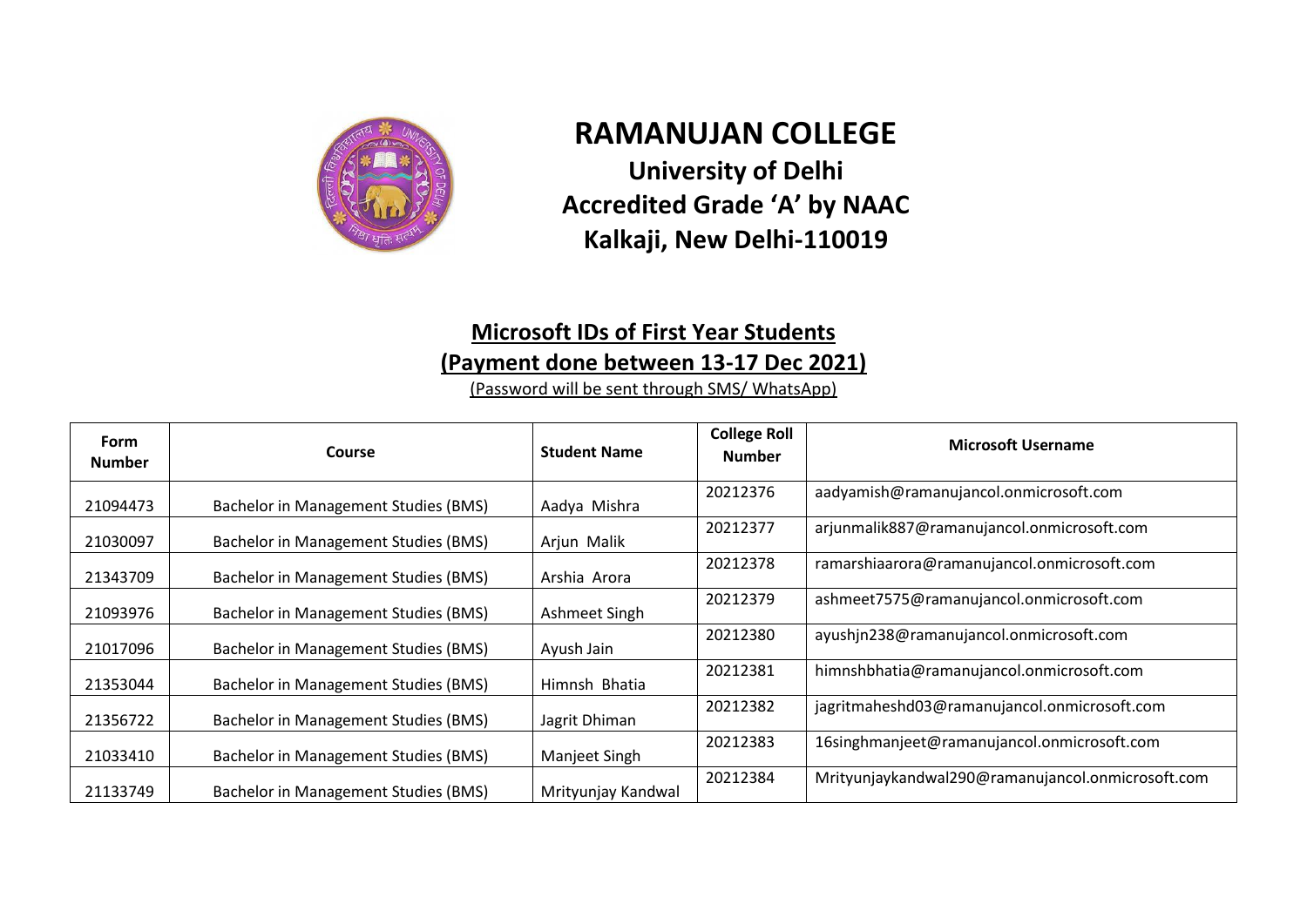

## **RAMANUJAN COLLEGE University of Delhi Accredited Grade 'A' by NAAC**

## **Kalkaji, New Delhi-110019**

## **Microsoft IDs of First Year Students (Payment done between 13-17 Dec 2021)**

(Password will be sent through SMS/ WhatsApp)

| Form<br><b>Number</b> | Course                               | <b>Student Name</b> | <b>College Roll</b><br><b>Number</b> | <b>Microsoft Username</b>                         |
|-----------------------|--------------------------------------|---------------------|--------------------------------------|---------------------------------------------------|
| 21094473              | Bachelor in Management Studies (BMS) | Aadya Mishra        | 20212376                             | aadyamish@ramanujancol.onmicrosoft.com            |
| 21030097              | Bachelor in Management Studies (BMS) | Arjun Malik         | 20212377                             | arjunmalik887@ramanujancol.onmicrosoft.com        |
| 21343709              | Bachelor in Management Studies (BMS) | Arshia Arora        | 20212378                             | ramarshiaarora@ramanujancol.onmicrosoft.com       |
| 21093976              | Bachelor in Management Studies (BMS) | Ashmeet Singh       | 20212379                             | ashmeet7575@ramanujancol.onmicrosoft.com          |
| 21017096              | Bachelor in Management Studies (BMS) | Ayush Jain          | 20212380                             | ayushjn238@ramanujancol.onmicrosoft.com           |
| 21353044              | Bachelor in Management Studies (BMS) | Himnsh Bhatia       | 20212381                             | himnshbhatia@ramanujancol.onmicrosoft.com         |
| 21356722              | Bachelor in Management Studies (BMS) | Jagrit Dhiman       | 20212382                             | jagritmaheshd03@ramanujancol.onmicrosoft.com      |
| 21033410              | Bachelor in Management Studies (BMS) | Manjeet Singh       | 20212383                             | 16singhmanjeet@ramanujancol.onmicrosoft.com       |
| 21133749              | Bachelor in Management Studies (BMS) | Mrityunjay Kandwal  | 20212384                             | Mrityunjaykandwal290@ramanujancol.onmicrosoft.com |